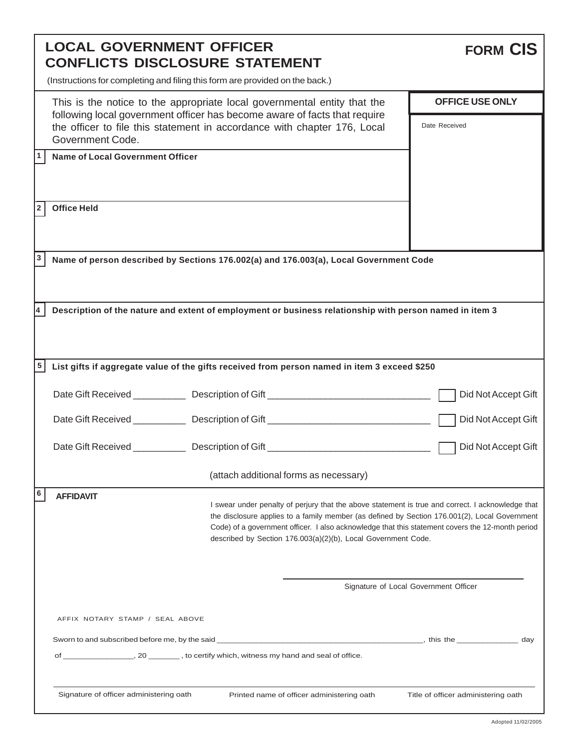| <b>LOCAL GOVERNMENT OFFICER</b><br><b>CONFLICTS DISCLOSURE STATEMENT</b>              |                                                                                                                                                                                                                                                       |                                                                                                                                                                                                                                                                                                                                                                         |  | <b>FORM CIS</b>                         |  |
|---------------------------------------------------------------------------------------|-------------------------------------------------------------------------------------------------------------------------------------------------------------------------------------------------------------------------------------------------------|-------------------------------------------------------------------------------------------------------------------------------------------------------------------------------------------------------------------------------------------------------------------------------------------------------------------------------------------------------------------------|--|-----------------------------------------|--|
|                                                                                       | (Instructions for completing and filing this form are provided on the back.)                                                                                                                                                                          |                                                                                                                                                                                                                                                                                                                                                                         |  |                                         |  |
|                                                                                       | This is the notice to the appropriate local governmental entity that the<br>following local government officer has become aware of facts that require<br>the officer to file this statement in accordance with chapter 176, Local<br>Government Code. |                                                                                                                                                                                                                                                                                                                                                                         |  | <b>OFFICE USE ONLY</b><br>Date Received |  |
| 1                                                                                     | <b>Name of Local Government Officer</b>                                                                                                                                                                                                               |                                                                                                                                                                                                                                                                                                                                                                         |  |                                         |  |
| 2                                                                                     | <b>Office Held</b>                                                                                                                                                                                                                                    |                                                                                                                                                                                                                                                                                                                                                                         |  |                                         |  |
| 3                                                                                     | Name of person described by Sections 176.002(a) and 176.003(a), Local Government Code                                                                                                                                                                 |                                                                                                                                                                                                                                                                                                                                                                         |  |                                         |  |
|                                                                                       |                                                                                                                                                                                                                                                       | Description of the nature and extent of employment or business relationship with person named in item 3                                                                                                                                                                                                                                                                 |  |                                         |  |
| 5                                                                                     | List gifts if aggregate value of the gifts received from person named in item 3 exceed \$250                                                                                                                                                          |                                                                                                                                                                                                                                                                                                                                                                         |  |                                         |  |
|                                                                                       |                                                                                                                                                                                                                                                       |                                                                                                                                                                                                                                                                                                                                                                         |  | Did Not Accept Gift                     |  |
|                                                                                       |                                                                                                                                                                                                                                                       | Date Gift Received ______________ Description of Gift ___________________________                                                                                                                                                                                                                                                                                       |  | Did Not Accept Gift                     |  |
|                                                                                       |                                                                                                                                                                                                                                                       | Date Gift Received ________________ Description of Gift _________________________                                                                                                                                                                                                                                                                                       |  | Did Not Accept Gift                     |  |
|                                                                                       |                                                                                                                                                                                                                                                       | (attach additional forms as necessary)                                                                                                                                                                                                                                                                                                                                  |  |                                         |  |
| 6                                                                                     | <b>AFFIDAVIT</b>                                                                                                                                                                                                                                      | I swear under penalty of perjury that the above statement is true and correct. I acknowledge that<br>the disclosure applies to a family member (as defined by Section 176.001(2), Local Government<br>Code) of a government officer. I also acknowledge that this statement covers the 12-month period<br>described by Section 176.003(a)(2)(b), Local Government Code. |  |                                         |  |
|                                                                                       | Signature of Local Government Officer                                                                                                                                                                                                                 |                                                                                                                                                                                                                                                                                                                                                                         |  |                                         |  |
| AFFIX NOTARY STAMP / SEAL ABOVE                                                       |                                                                                                                                                                                                                                                       |                                                                                                                                                                                                                                                                                                                                                                         |  |                                         |  |
|                                                                                       |                                                                                                                                                                                                                                                       |                                                                                                                                                                                                                                                                                                                                                                         |  | day                                     |  |
| Signature of officer administering oath<br>Printed name of officer administering oath |                                                                                                                                                                                                                                                       |                                                                                                                                                                                                                                                                                                                                                                         |  | Title of officer administering oath     |  |
|                                                                                       |                                                                                                                                                                                                                                                       |                                                                                                                                                                                                                                                                                                                                                                         |  |                                         |  |